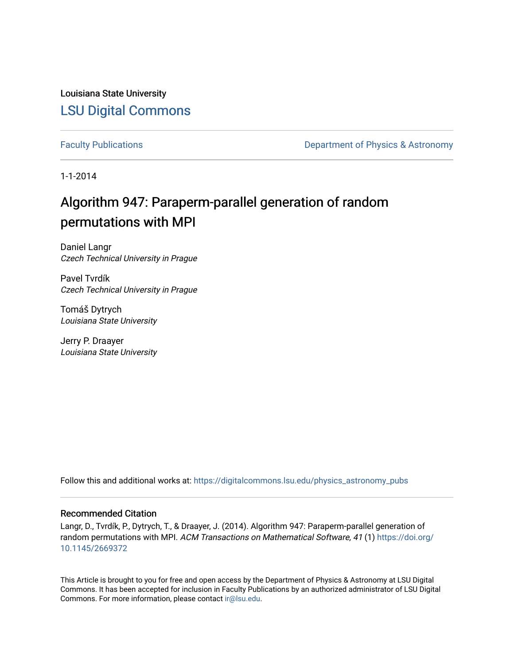Louisiana State University [LSU Digital Commons](https://digitalcommons.lsu.edu/)

[Faculty Publications](https://digitalcommons.lsu.edu/physics_astronomy_pubs) **Exercise 2 and Table 2 and Table 2 and Table 2 and Table 2 and Table 2 and Table 2 and Table 2 and Table 2 and Table 2 and Table 2 and Table 2 and Table 2 and Table 2 and Table 2 and Table 2 and Table** 

1-1-2014

# Algorithm 947: Paraperm-parallel generation of random permutations with MPI

Daniel Langr Czech Technical University in Prague

Pavel Tvrdík Czech Technical University in Prague

Tomáš Dytrych Louisiana State University

Jerry P. Draayer Louisiana State University

Follow this and additional works at: [https://digitalcommons.lsu.edu/physics\\_astronomy\\_pubs](https://digitalcommons.lsu.edu/physics_astronomy_pubs?utm_source=digitalcommons.lsu.edu%2Fphysics_astronomy_pubs%2F1722&utm_medium=PDF&utm_campaign=PDFCoverPages) 

# Recommended Citation

Langr, D., Tvrdík, P., Dytrych, T., & Draayer, J. (2014). Algorithm 947: Paraperm-parallel generation of random permutations with MPI. ACM Transactions on Mathematical Software, 41 (1) [https://doi.org/](https://doi.org/10.1145/2669372) [10.1145/2669372](https://doi.org/10.1145/2669372) 

This Article is brought to you for free and open access by the Department of Physics & Astronomy at LSU Digital Commons. It has been accepted for inclusion in Faculty Publications by an authorized administrator of LSU Digital Commons. For more information, please contact [ir@lsu.edu](mailto:ir@lsu.edu).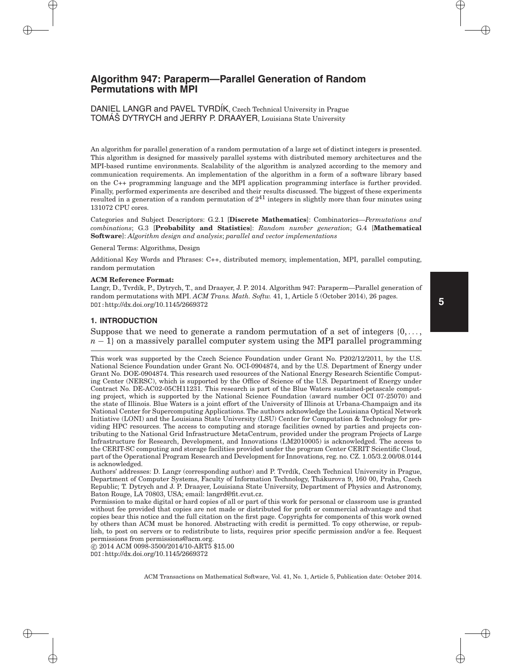# **Algorithm 947: Paraperm—Parallel Generation of Random Permutations with MPI**

DANIEL LANGR and PAVEL TVRDÍK, Czech Technical University in Prague TOMÁŠ DYTRYCH and JERRY P. DRAAYER, Louisiana State University

An algorithm for parallel generation of a random permutation of a large set of distinct integers is presented. This algorithm is designed for massively parallel systems with distributed memory architectures and the MPI-based runtime environments. Scalability of the algorithm is analyzed according to the memory and communication requirements. An implementation of the algorithm in a form of a software library based on the C++ programming language and the MPI application programming interface is further provided. Finally, performed experiments are described and their results discussed. The biggest of these experiments resulted in a generation of a random permutation of  $2^{41}$  integers in slightly more than four minutes using 131072 CPU cores.

Categories and Subject Descriptors: G.2.1 [**Discrete Mathematics**]: Combinatorics—*Permutations and combinations*; G.3 [**Probability and Statistics**]: *Random number generation*; G.4 [**Mathematical Software**]: *Algorithm design and analysis*; *parallel and vector implementations*

#### General Terms: Algorithms, Design

Additional Key Words and Phrases: C++, distributed memory, implementation, MPI, parallel computing, random permutation

#### **ACM Reference Format:**

Langr, D., Tvrd´ık, P., Dytrych, T., and Draayer, J. P. 2014. Algorithm 947: Paraperm—Parallel generation of random permutations with MPI. *ACM Trans. Math. Softw.* 41, 1, Article 5 (October 2014), 26 pages. DOI:http://dx.doi.org/10.1145/2669372

### **1. INTRODUCTION**

Suppose that we need to generate a random permutation of a set of integers {0, *...* ,  $n-1$ } on a massively parallel computer system using the MPI parallel programming

Authors' addresses: D. Langr (corresponding author) and P. Tvrd´ık, Czech Technical University in Prague, Department of Computer Systems, Faculty of Information Technology, Thakurova 9, 160 00, Praha, Czech ´ Republic; T. Dytrych and J. P. Draayer, Louisiana State University, Department of Physics and Astronomy, Baton Rouge, LA 70803, USA; email: langrd@fit.cvut.cz.

Permission to make digital or hard copies of all or part of this work for personal or classroom use is granted without fee provided that copies are not made or distributed for profit or commercial advantage and that copies bear this notice and the full citation on the first page. Copyrights for components of this work owned by others than ACM must be honored. Abstracting with credit is permitted. To copy otherwise, or republish, to post on servers or to redistribute to lists, requires prior specific permission and/or a fee. Request permissions from permissions@acm.org.

-c 2014 ACM 0098-3500/2014/10-ART5 \$15.00 DOI:http://dx.doi.org/10.1145/2669372

This work was supported by the Czech Science Foundation under Grant No. P202/12/2011, by the U.S. National Science Foundation under Grant No. OCI-0904874, and by the U.S. Department of Energy under Grant No. DOE-0904874. This research used resources of the National Energy Research Scientific Computing Center (NERSC), which is supported by the Office of Science of the U.S. Department of Energy under Contract No. DE-AC02-05CH11231. This research is part of the Blue Waters sustained-petascale computing project, which is supported by the National Science Foundation (award number OCI 07-25070) and the state of Illinois. Blue Waters is a joint effort of the University of Illinois at Urbana-Champaign and its National Center for Supercomputing Applications. The authors acknowledge the Louisiana Optical Network Initiative (LONI) and the Louisiana State University (LSU) Center for Computation & Technology for providing HPC resources. The access to computing and storage facilities owned by parties and projects contributing to the National Grid Infrastructure MetaCentrum, provided under the program Projects of Large Infrastructure for Research, Development, and Innovations (LM2010005) is acknowledged. The access to the CERIT-SC computing and storage facilities provided under the program Center CERIT Scientific Cloud, part of the Operational Program Research and Development for Innovations, reg. no. CZ. 1.05/3.2.00/08.0144 is acknowledged.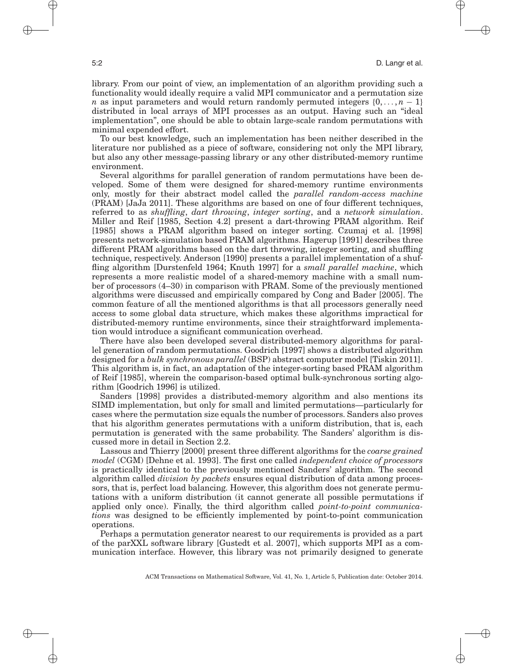library. From our point of view, an implementation of an algorithm providing such a functionality would ideally require a valid MPI communicator and a permutation size *n* as input parameters and would return randomly permuted integers  $\{0, \ldots, n-1\}$ distributed in local arrays of MPI processes as an output. Having such an "ideal implementation", one should be able to obtain large-scale random permutations with minimal expended effort.

To our best knowledge, such an implementation has been neither described in the literature nor published as a piece of software, considering not only the MPI library, but also any other message-passing library or any other distributed-memory runtime environment.

Several algorithms for parallel generation of random permutations have been developed. Some of them were designed for shared-memory runtime environments only, mostly for their abstract model called the *parallel random-access machine* (PRAM) [JaJa 2011]. These algorithms are based on one of four different techniques, referred to as *shuffling*, *dart throwing*, *integer sorting*, and a *network simulation*. Miller and Reif [1985, Section 4.2] present a dart-throwing PRAM algorithm. Reif [1985] shows a PRAM algorithm based on integer sorting. Czumaj et al. [1998] presents network-simulation based PRAM algorithms. Hagerup [1991] describes three different PRAM algorithms based on the dart throwing, integer sorting, and shuffling technique, respectively. Anderson [1990] presents a parallel implementation of a shuffling algorithm [Durstenfeld 1964; Knuth 1997] for a *small parallel machine*, which represents a more realistic model of a shared-memory machine with a small number of processors (4–30) in comparison with PRAM. Some of the previously mentioned algorithms were discussed and empirically compared by Cong and Bader [2005]. The common feature of all the mentioned algorithms is that all processors generally need access to some global data structure, which makes these algorithms impractical for distributed-memory runtime environments, since their straightforward implementation would introduce a significant communication overhead.

There have also been developed several distributed-memory algorithms for parallel generation of random permutations. Goodrich [1997] shows a distributed algorithm designed for a *bulk synchronous parallel* (BSP) abstract computer model [Tiskin 2011]. This algorithm is, in fact, an adaptation of the integer-sorting based PRAM algorithm of Reif [1985], wherein the comparison-based optimal bulk-synchronous sorting algorithm [Goodrich 1996] is utilized.

Sanders [1998] provides a distributed-memory algorithm and also mentions its SIMD implementation, but only for small and limited permutations—particularly for cases where the permutation size equals the number of processors. Sanders also proves that his algorithm generates permutations with a uniform distribution, that is, each permutation is generated with the same probability. The Sanders' algorithm is discussed more in detail in Section 2.2.

Lassous and Thierry [2000] present three different algorithms for the *coarse grained model* (CGM) [Dehne et al. 1993]. The first one called *independent choice of processors* is practically identical to the previously mentioned Sanders' algorithm. The second algorithm called *division by packets* ensures equal distribution of data among processors, that is, perfect load balancing. However, this algorithm does not generate permutations with a uniform distribution (it cannot generate all possible permutations if applied only once). Finally, the third algorithm called *point-to-point communications* was designed to be efficiently implemented by point-to-point communication operations.

Perhaps a permutation generator nearest to our requirements is provided as a part of the parXXL software library [Gustedt et al. 2007], which supports MPI as a communication interface. However, this library was not primarily designed to generate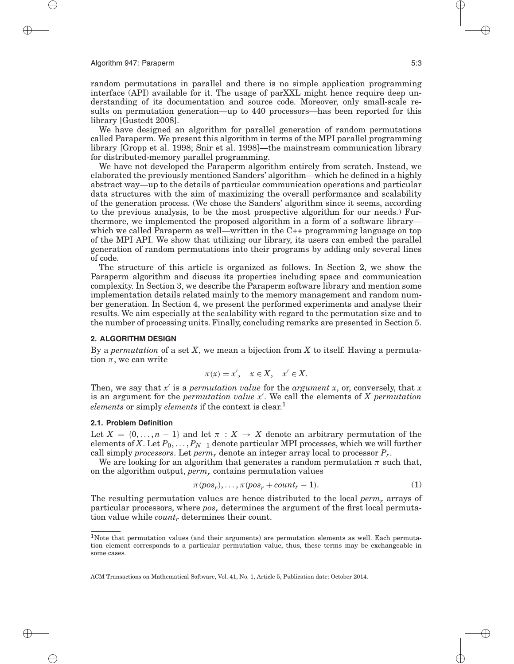random permutations in parallel and there is no simple application programming interface (API) available for it. The usage of parXXL might hence require deep understanding of its documentation and source code. Moreover, only small-scale results on permutation generation—up to 440 processors—has been reported for this library [Gustedt 2008].

We have designed an algorithm for parallel generation of random permutations called Paraperm. We present this algorithm in terms of the MPI parallel programming library [Gropp et al. 1998; Snir et al. 1998]—the mainstream communication library for distributed-memory parallel programming.

We have not developed the Paraperm algorithm entirely from scratch. Instead, we elaborated the previously mentioned Sanders' algorithm—which he defined in a highly abstract way—up to the details of particular communication operations and particular data structures with the aim of maximizing the overall performance and scalability of the generation process. (We chose the Sanders' algorithm since it seems, according to the previous analysis, to be the most prospective algorithm for our needs.) Furthermore, we implemented the proposed algorithm in a form of a software library which we called Paraperm as well—written in the C++ programming language on top of the MPI API. We show that utilizing our library, its users can embed the parallel generation of random permutations into their programs by adding only several lines of code.

The structure of this article is organized as follows. In Section 2, we show the Paraperm algorithm and discuss its properties including space and communication complexity. In Section 3, we describe the Paraperm software library and mention some implementation details related mainly to the memory management and random number generation. In Section 4, we present the performed experiments and analyse their results. We aim especially at the scalability with regard to the permutation size and to the number of processing units. Finally, concluding remarks are presented in Section 5.

### **2. ALGORITHM DESIGN**

By a *permutation* of a set *X*, we mean a bijection from *X* to itself. Having a permutation  $\pi$ , we can write

$$
\pi(x) = x', \quad x \in X, \quad x' \in X.
$$

Then, we say that *x* is a *permutation value* for the *argument x*, or, conversely, that *x* is an argument for the *permutation value x* . We call the elements of *X permutation elements* or simply *elements* if the context is clear.<sup>1</sup>

### **2.1. Problem Definition**

Let  $X = \{0, \ldots, n-1\}$  and let  $\pi : X \to X$  denote an arbitrary permutation of the elements of *X*. Let  $P_0, \ldots, P_{N-1}$  denote particular MPI processes, which we will further call simply *processors*. Let *perm<sub>r</sub>* denote an integer array local to processor  $P_r$ .

We are looking for an algorithm that generates a random permutation  $\pi$  such that, on the algorithm output, *permr* contains permutation values

$$
\pi(pos_r), \dots, \pi(pos_r + count_r - 1). \tag{1}
$$

The resulting permutation values are hence distributed to the local *permr* arrays of particular processors, where *pos*, determines the argument of the first local permutation value while *countr* determines their count.

<sup>1</sup>Note that permutation values (and their arguments) are permutation elements as well. Each permutation element corresponds to a particular permutation value, thus, these terms may be exchangeable in some cases.

ACM Transactions on Mathematical Software, Vol. 41, No. 1, Article 5, Publication date: October 2014.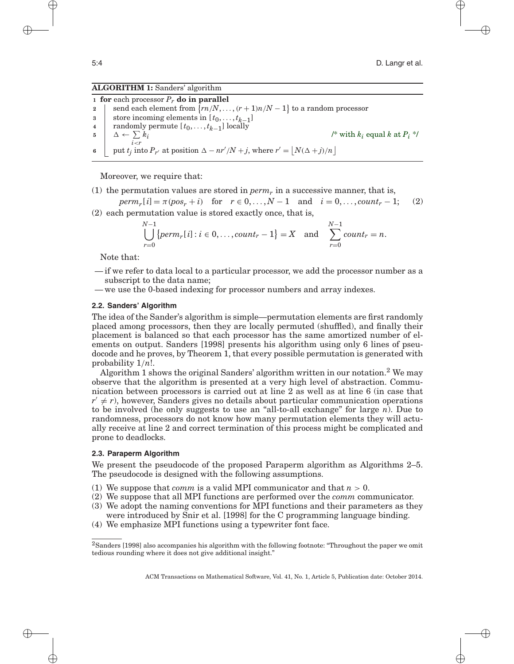# **ALGORITHM 1:** Sanders' algorithm

 **for** each processor *Pr* **do in parallel**  $\left| \right|$  send each element from  $\{rn/N, \ldots, (r+1)n/N - 1\}$  to a random processor store incoming elements in  $[t_0, \ldots, t_{k-1}]$ <br>**4** randomly permute  $[t_0, \ldots, t_{k-1}]$  locally **randomly permute**  $[t_0, \ldots, t_{k-1}]$  locally <br>**5**  $\wedge$  ←  $\sum k_i$  $\Delta \leftarrow \sum k_i$ *i<r* /\* with  $k_i$  equal  $k$  at  $P_i$  \*/  $\left[ \text{put } t_j \text{ into } P_{r'} \text{ at position } \Delta - nr'/N + j \text{, where } r' = \left[ N(\Delta + j)/n \right]$ 

Moreover, we require that:

(1) the permutation values are stored in  $perm_r$  in a successive manner, that is,

 $perm_r[i] = \pi(pos_r + i)$  for  $r \in 0, ..., N-1$  and  $i = 0, ..., count_r - 1;$  (2) (2) each permutation value is stored exactly once, that is,

$$
\bigcup_{r=0}^{N-1} \{perm_r[i]: i \in 0, \ldots, count_r-1\} = X \text{ and } \sum_{r=0}^{N-1} count_r = n.
$$

Note that:

- if we refer to data local to a particular processor, we add the processor number as a subscript to the data name;
- we use the 0-based indexing for processor numbers and array indexes.

# **2.2. Sanders' Algorithm**

The idea of the Sander's algorithm is simple—permutation elements are first randomly placed among processors, then they are locally permuted (shuffled), and finally their placement is balanced so that each processor has the same amortized number of elements on output. Sanders [1998] presents his algorithm using only 6 lines of pseudocode and he proves, by Theorem 1, that every possible permutation is generated with probability 1*/n*!.

Algorithm 1 shows the original Sanders' algorithm written in our notation.<sup>2</sup> We may observe that the algorithm is presented at a very high level of abstraction. Communication between processors is carried out at line 2 as well as at line 6 (in case that  $r' \neq r$ ), however, Sanders gives no details about particular communication operations to be involved (he only suggests to use an "all-to-all exchange" for large *n*). Due to randomness, processors do not know how many permutation elements they will actually receive at line 2 and correct termination of this process might be complicated and prone to deadlocks.

# **2.3. Paraperm Algorithm**

We present the pseudocode of the proposed Paraperm algorithm as Algorithms 2–5. The pseudocode is designed with the following assumptions.

- (1) We suppose that *comm* is a valid MPI communicator and that  $n > 0$ .
- (2) We suppose that all MPI functions are performed over the *comm* communicator.
- (3) We adopt the naming conventions for MPI functions and their parameters as they were introduced by Snir et al. [1998] for the C programming language binding.
- (4) We emphasize MPI functions using a typewriter font face.

<sup>2</sup>Sanders [1998] also accompanies his algorithm with the following footnote: "Throughout the paper we omit tedious rounding where it does not give additional insight."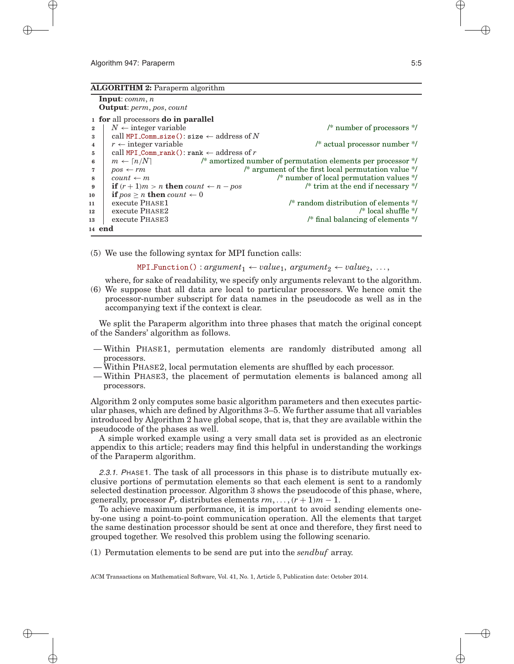#### **ALGORITHM 2:** Paraperm algorithm

```
Input: comm, n
Output: perm, pos, count
```
#### **<sup>1</sup> for** all processors **do in parallel**

```
2 \downarrow N \leftarrow integer variable \downarrow /* number of processors */
3 call MPI Comm size(): size \leftarrow address of N
4 r \leftarrow integer variable \leftarrow /* actual processor number */
5 call MPI Comm rank(): rank \leftarrow address of r
6 m \leftarrow \lceil n/N \rceil /* amortized number of permutation elements per processor */<br>
7 pos ← rm /* argument of the first local permutation value */
7 pos \leftarrow rm /* argument of the first local permutation value */
8 count \leftarrow m /* number of local permutation values */
9 if (r + 1)m > n then count \leftarrow n - pos /* trim at the end if necessary */
10 if pos \geq n then count \leftarrow 011 execute PHASE1 /* random distribution of elements */
12 execute PHASE2 parameters \frac{1}{2} execute PHASE2
13 execute PHASE3 13 execute PHASE3
14 end
```
(5) We use the following syntax for MPI function calls:

 $MPI_Function() : argument_1 \leftarrow value_1, argument_2 \leftarrow value_2, ...,$ 

where, for sake of readability, we specify only arguments relevant to the algorithm.

(6) We suppose that all data are local to particular processors. We hence omit the processor-number subscript for data names in the pseudocode as well as in the accompanying text if the context is clear.

We split the Paraperm algorithm into three phases that match the original concept of the Sanders' algorithm as follows.

- Within PHASE1, permutation elements are randomly distributed among all processors.
- Within PHASE2, local permutation elements are shuffled by each processor.
- Within PHASE3, the placement of permutation elements is balanced among all processors.

Algorithm 2 only computes some basic algorithm parameters and then executes particular phases, which are defined by Algorithms 3–5. We further assume that all variables introduced by Algorithm 2 have global scope, that is, that they are available within the pseudocode of the phases as well.

A simple worked example using a very small data set is provided as an electronic appendix to this article; readers may find this helpful in understanding the workings of the Paraperm algorithm.

2.3.1. PHASE1. The task of all processors in this phase is to distribute mutually exclusive portions of permutation elements so that each element is sent to a randomly selected destination processor. Algorithm 3 shows the pseudocode of this phase, where, generally, processor  $P_r$  distributes elements  $rm, \ldots, (r + 1)m - 1$ .

To achieve maximum performance, it is important to avoid sending elements oneby-one using a point-to-point communication operation. All the elements that target the same destination processor should be sent at once and therefore, they first need to grouped together. We resolved this problem using the following scenario.

(1) Permutation elements to be send are put into the *sendbuf* array.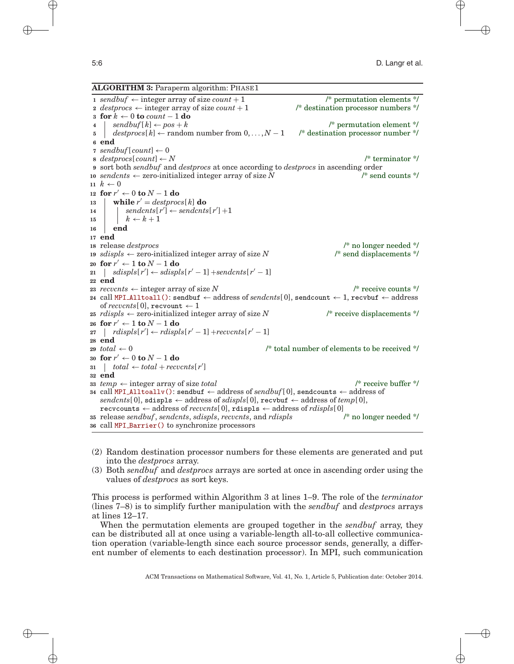# **ALGORITHM 3:** Paraperm algorithm: PHASE1

 $\text{sendbuf} \leftarrow \text{integer array of size } \text{count} + 1$  /\* permutation elements \*/  $destprocs \leftarrow$  integer array of size  $count + 1$  /\* destination processor numbers \*/ **for** *k* ← 0 **to** *count* − 1 **do**  $|$  sendbuf[ $k$ ]  $\leftarrow$  pos +  $k$  /\* permutation element \*/ *destprocs*[ *k*]← random number from 0, *...* , *N* − 1 /\* destination processor number \*/ **<sup>6</sup> end** *sendbuf*[ $count$ ]  $\leftarrow$  0 *destprocs*[ *count*]← *N* /\* terminator \*/ sort both *sendbuf* and *destprocs* at once according to *destprocs* in ascending order *sendcnts*  $\leftarrow$  zero-initialized integer array of size *N* /\* send counts \*/  $k \leftarrow 0$  **for** *r* ← 0 **to** *N* − 1 **do while**  $r' = destprocs[k]$  **do**  | sendcnts $[r'] \leftarrow$  sendcnts $[r'] + 1$  $\vert k \leftarrow k+1$ **<sup>16</sup> end <sup>17</sup> end** release *destprocs* /\* no longer needed \*/ *sdispls* ← zero-initialized integer array of size *N* /\* send displacements \*/ **for** *r* ← 1 **to** *N* − 1 **do**  $21 \mid sidispls[r'] \leftarrow sdispls[r'-1] + sendents[r'-1]$ **<sup>22</sup> end**  $reevents \leftarrow integer array of size N$  /\* receive counts \*/ call MPI Alltoall(): sendbuf ← address of *sendcnts*[ 0], sendcount ← 1, recvbuf ← address of *recvcnts*[0], recvount  $\leftarrow$  1 *rdispls*  $\leftarrow$  zero-initialized integer array of size *N* /\* receive displacements \*/ **for**  $r' \leftarrow 1$  **to**  $N - 1$  **do**  $\text{r}$  *rdispls*[ $r'$ ]  $\leftarrow$  *rdispls*[ $r' - 1$ ] +*recvcnts*[ $r' - 1$ ] **<sup>28</sup> end**  $total \leftarrow 0$  /\* total number of elements to be received \*/ **for**  $r'$  ← 0 **to**  $N-1$  **do**  $31 \mid total \leftarrow total + records[r']$ **<sup>32</sup> end** *temp* ← integer array of size *total* /\* receive buffer \*/ call MPI Alltoallv(): sendbuf ← address of *sendbuf*[ 0], sendcounts ← address of  $sendcnts[0],$  sdispls  $\leftarrow$  address of *sdispls*[0], recvbut  $\leftarrow$  address of *temp*[0], **recvcounts** ← address of *recvents*[0], **rdispls** ← address of *rdispls*[0]<br>release *sendbuf*, *sendents*, *sdispls*, *recvents*, and *rdispls*  $\frac{1}{2}$  (\* no longer needed \*/ release *sendbuf*, *sendcnts*, *sdispls*, *recvcnts*, and *rdispls* /\* no longer needed \*/ call MPI Barrier() to synchronize processors

- (2) Random destination processor numbers for these elements are generated and put into the *destprocs* array.
- (3) Both *sendbuf* and *destprocs* arrays are sorted at once in ascending order using the values of *destprocs* as sort keys.

This process is performed within Algorithm 3 at lines 1–9. The role of the *terminator* (lines 7–8) is to simplify further manipulation with the *sendbuf* and *destprocs* arrays at lines 12–17.

When the permutation elements are grouped together in the *sendbuf* array, they can be distributed all at once using a variable-length all-to-all collective communication operation (variable-length since each source processor sends, generally, a different number of elements to each destination processor). In MPI, such communication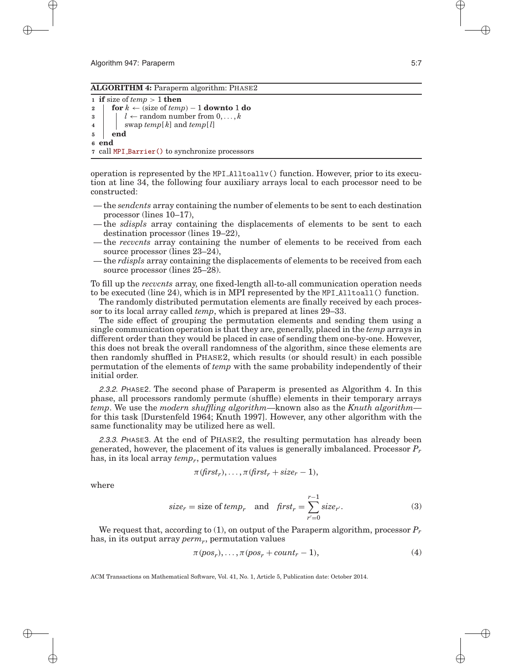#### **ALGORITHM 4:** Paraperm algorithm: PHASE2

```
1 if size of temp > 1 then
2 for k \leftarrow (size of temp) − 1 downto 1 do
\mathbf{3} \vert \cdot \vert \cdot \vert \leftarrow random number from 0, \ldots, k\bf{4} | swap temp[\bf{k}] and temp[\bf{l}]
5 end
6 end
7 call MPI Barrier() to synchronize processors
```
operation is represented by the MPI  $\Lambda$ lltoallv() function. However, prior to its execution at line 34, the following four auxiliary arrays local to each processor need to be constructed:

- the *sendcnts* array containing the number of elements to be sent to each destination processor (lines 10–17),
- the *sdispls* array containing the displacements of elements to be sent to each destination processor (lines 19–22),
- the *recvcnts* array containing the number of elements to be received from each source processor (lines 23–24),
- the *rdispls* array containing the displacements of elements to be received from each source processor (lines  $25-28$ ).

To fill up the *recvcnts* array, one fixed-length all-to-all communication operation needs to be executed (line 24), which is in MPI represented by the MPI Alltoall() function.

The randomly distributed permutation elements are finally received by each processor to its local array called *temp*, which is prepared at lines 29–33.

The side effect of grouping the permutation elements and sending them using a single communication operation is that they are, generally, placed in the *temp* arrays in different order than they would be placed in case of sending them one-by-one. However, this does not break the overall randomness of the algorithm, since these elements are then randomly shuffled in PHASE2, which results (or should result) in each possible permutation of the elements of *temp* with the same probability independently of their initial order.

2.3.2. PHASE2. The second phase of Paraperm is presented as Algorithm 4. In this phase, all processors randomly permute (shuffle) elements in their temporary arrays *temp*. We use the *modern shuffling algorithm*—known also as the *Knuth algorithm* for this task [Durstenfeld 1964; Knuth 1997]. However, any other algorithm with the same functionality may be utilized here as well.

2.3.3. PHASE3. At the end of PHASE2, the resulting permutation has already been generated, however, the placement of its values is generally imbalanced. Processor *Pr* has, in its local array *temp<sub>r</sub>*, permutation values

$$
\pi(\text{first}_r), \ldots, \pi(\text{first}_r + \text{size}_r - 1),
$$

where

$$
size_r = size of temp_r \quad and \quad first_r = \sum_{r'=0}^{r-1} size_{r'}.
$$
 (3)

We request that, according to (1), on output of the Paraperm algorithm, processor *Pr* has, in its output array *permr*, permutation values

$$
\pi(pos_r), \dots, \pi(pos_r + count_r - 1), \tag{4}
$$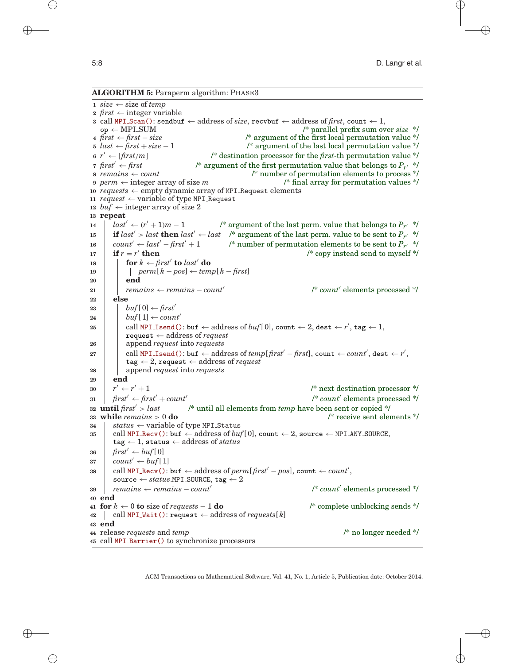**ALGORITHM 5:** Paraperm algorithm: PHASE3

 $size \leftarrow size$  of *temp*  $first \leftarrow integer \ variable$  call MPI Scan(): sendbuf  $\leftarrow$  address of *size*, recvbuf  $\leftarrow$  address of *first*, count  $\leftarrow$  1, op ← MPI SUM /\* parallel prefix sum over *size* \*/  $first \leftarrow first - size$ <br> **5**  $last \leftarrow first + size - 1$ <br> **4**  $/*$  argument of the last local permutation value \*/ *last* ← *first* + *size* − 1 /\* argument of the last local permutation value \*/  $r' \leftarrow |first/m|$  /\* destination processor for the *first*-th permutation value \*/  $first'$  ←  $first$  *first*  $\leq$  *first*  $\leq$  *first*  $\leq$  *first* permutation value that belongs to *P<sub>r</sub>*  $\leq$  *f*  $\leq$  *f*  $\leq$  *f*  $\leq$  *f*  $\leq$  *f*  $\leq$  *f*  $\leq$  *f*  $\leq$  *f*  $\leq$  *f*  $\leq$  *f*  $\leq$  *f*  $\$ <sup>\*</sup> number of permutation elements to process \*/ *perm* ← integer array of size *m* /\* final array for permutation values \*/ *requests* ← empty dynamic array of MPI Request elements  $request \leftarrow variable of type MPI\_Request$ *buf*  $\leftarrow$  integer array of size 2 **<sup>13</sup> repeat** *ast'* ←  $(r' + 1)m - 1$  /\* argument of the last perm. value that belongs to  $P_{r'}$  \*/ **if**  $last' > last$  **then**  $last' \leftarrow last$  /\* argument of the last perm. value to be sent to  $P_{r'}$  \*/  $\begin{array}{l}\n\text{count}' \leftarrow \text{last}' - \text{first}' + 1 \\
\text{if } r = r' \text{ then}\n\end{array}$  /\* number of permutation elements to be sent to  $P_{r'} * /$ <br> **17**  $\begin{array}{l}\n\text{if } r = r' \text{ then}\n\end{array}$  **if**  $r = r'$  **then** /\* copy instead send to myself \*/ **for**  $k \leftarrow \text{first}'$  **to**  $\text{last}'$  **do**  *perm*[ *k* − *pos*]← *temp*[ *k* − *first*] **<sup>20</sup> end** *remains* ← *remains* – *count'*  $\mathbb{R}^*$  *count'* elements processed \*/ **<sup>22</sup> else** |  $buf[0] \leftarrow \text{first}'$ **buf**[1]  $\leftarrow$  *count'*  $\begin{array}{|l|} \hline \text{call MPI\_Isend(): \text{buf} \leftarrow \text{address of } \textit{buf}[0], \text{count} \leftarrow 2, \text{dest} \leftarrow r', \text{tag} \leftarrow 1, \end{array}$ request ← address of *request* append *request* into *requests* call MPI\_Isend(): buf  $\leftarrow$  address of  $temp[$  *first'* – *first*], count  $\leftarrow$  *count'*, dest  $\leftarrow$  *r'*,  $tag \leftarrow 2$ , request  $\leftarrow$  address of *request*  append *request* into *requests* **<sup>29</sup> end**  $r' \leftarrow r' + 1$  /\* next destination processor \*/  $\int \text{first}' \leftarrow \text{first}' + \text{count}'$  /\* *count* elements processed \*/ **until** *first > last* /\* until all elements from *temp* have been sent or copied \*/ **while** *remains >* 0 **do** /\* receive sent elements \*/ *status* ← variable of type <code>MPI\_Status</code> call MPI  $\text{Recv}()$ : buf  $\leftarrow$  address of  $buf[0]$ , count  $\leftarrow$  2, source  $\leftarrow$  MPI  $\text{ANY\_SOURCE}$ ,  $tag \leftarrow 1$ , status  $\leftarrow$  address of *status first'*  $\leftarrow \text{buf}[0]$  *count'* ← *buf*[1]  $\text{38}$  call MPI Recv(): buf  $\leftarrow$  address of  $\text{perm}[\text{first}' - \text{pos}]$ , count  $\leftarrow$  *count'*,  $source \leftarrow status.MPI\_SOWRCE, tag \leftarrow 2$  *remains* **←** *remains* **−** *count***<sup>'</sup> <b>***remains* + *count*<sup>'</sup> *remains* + *f\* count*<sup>'</sup> elements processed \*/ **<sup>40</sup> end for**  $k \leftarrow 0$  **to** size of *requests* − 1 **do** /\* complete unblocking sends \*/ call MPI Wait(): request  $\leftarrow$  address of *requests*[ $k$ ] **<sup>43</sup> end** release *requests* and *temp* /\* no longer needed \*/ call MPI Barrier() to synchronize processors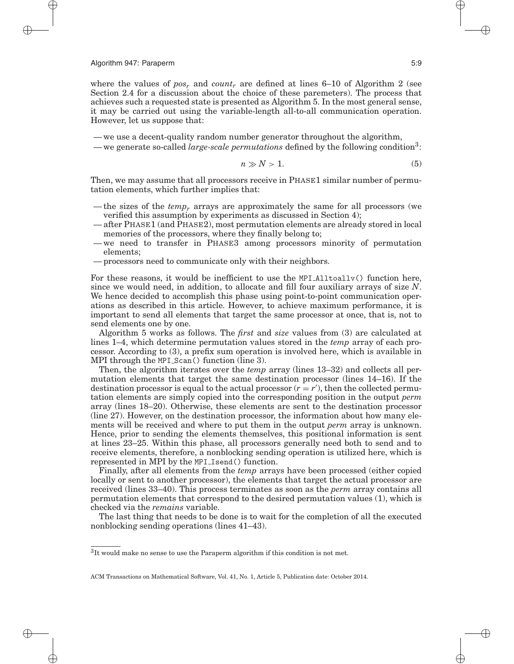where the values of  $pos_r$ , and  $count_r$  are defined at lines 6–10 of Algorithm 2 (see Section 2.4 for a discussion about the choice of these paremeters). The process that achieves such a requested state is presented as Algorithm 5. In the most general sense, it may be carried out using the variable-length all-to-all communication operation. However, let us suppose that:

— we use a decent-quality random number generator throughout the algorithm,

— we generate so-called *large-scale permutations* defined by the following condition3:

$$
n \gg N > 1. \tag{5}
$$

Then, we may assume that all processors receive in PHASE1 similar number of permutation elements, which further implies that:

- the sizes of the *tempr* arrays are approximately the same for all processors (we verified this assumption by experiments as discussed in Section 4);
- after PHASE1 (and PHASE2), most permutation elements are already stored in local memories of the processors, where they finally belong to;
- we need to transfer in PHASE3 among processors minority of permutation elements;
- processors need to communicate only with their neighbors.

For these reasons, it would be inefficient to use the MPI Alltoallv() function here, since we would need, in addition, to allocate and fill four auxiliary arrays of size *N*. We hence decided to accomplish this phase using point-to-point communication operations as described in this article. However, to achieve maximum performance, it is important to send all elements that target the same processor at once, that is, not to send elements one by one.

Algorithm 5 works as follows. The *first* and *size* values from (3) are calculated at lines 1–4, which determine permutation values stored in the *temp* array of each processor. According to (3), a prefix sum operation is involved here, which is available in MPI through the MPI Scan() function (line 3).

Then, the algorithm iterates over the *temp* array (lines 13–32) and collects all permutation elements that target the same destination processor (lines 14–16). If the destination processor is equal to the actual processor  $(r = r')$ , then the collected permutation elements are simply copied into the corresponding position in the output *perm* array (lines 18–20). Otherwise, these elements are sent to the destination processor (line 27). However, on the destination processor, the information about how many elements will be received and where to put them in the output *perm* array is unknown. Hence, prior to sending the elements themselves, this positional information is sent at lines 23–25. Within this phase, all processors generally need both to send and to receive elements, therefore, a nonblocking sending operation is utilized here, which is represented in MPI by the MPI Isend() function.

Finally, after all elements from the *temp* arrays have been processed (either copied locally or sent to another processor), the elements that target the actual processor are received (lines 33–40). This process terminates as soon as the *perm* array contains all permutation elements that correspond to the desired permutation values (1), which is checked via the *remains* variable.

The last thing that needs to be done is to wait for the completion of all the executed nonblocking sending operations (lines 41–43).

 ${}^{3}{\rm It}$  would make no sense to use the Paraperm algorithm if this condition is not met.

ACM Transactions on Mathematical Software, Vol. 41, No. 1, Article 5, Publication date: October 2014.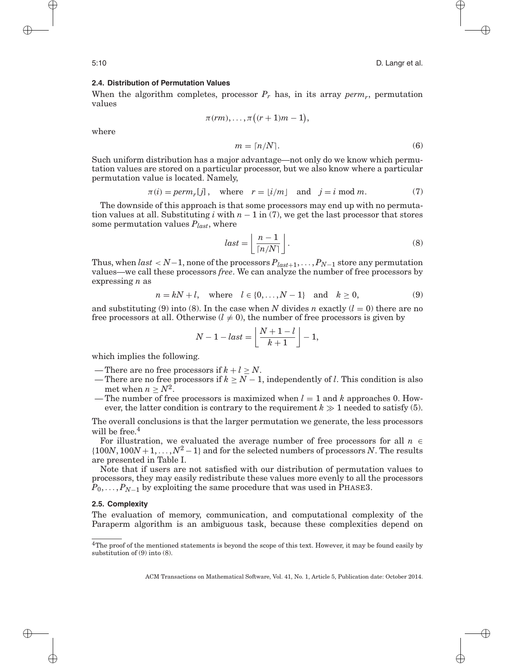#### **2.4. Distribution of Permutation Values**

When the algorithm completes, processor  $P_r$  has, in its array  $perm_r$ , permutation values

$$
\pi(rm),\ldots,\pi\bigl((r+1)m-1\bigr),
$$

where

$$
m = \lceil n/N \rceil. \tag{6}
$$

Such uniform distribution has a major advantage—not only do we know which permutation values are stored on a particular processor, but we also know where a particular permutation value is located. Namely,

$$
\pi(i) = perm_r[j], \quad \text{where} \quad r = \lfloor i/m \rfloor \quad \text{and} \quad j = i \mod m. \tag{7}
$$

The downside of this approach is that some processors may end up with no permutation values at all. Substituting *i* with  $n - 1$  in (7), we get the last processor that stores some permutation values  $P_{last}$ , where

$$
last = \left\lfloor \frac{n-1}{\lceil n/N \rceil} \right\rfloor. \tag{8}
$$

Thus, when  $last < N-1$ , none of the processors  $P_{last+1}, \ldots, P_{N-1}$  store any permutation values—we call these processors *free*. We can analyze the number of free processors by expressing *n* as

$$
n = kN + l
$$
, where  $l \in \{0, ..., N - 1\}$  and  $k \ge 0$ , (9)

and substituting (9) into (8). In the case when *N* divides *n* exactly  $(l = 0)$  there are no free processors at all. Otherwise  $(l \neq 0)$ , the number of free processors is given by

$$
N-1-last = \left\lfloor \frac{N+1-l}{k+1} \right\rfloor - 1,
$$

which implies the following.

- There are no free processors if  $k + l > N$ .
- There are no free processors if  $k \geq N-1$ , independently of *l*. This condition is also met when  $n > N^2$ .
- The number of free processors is maximized when  $l = 1$  and  $k$  approaches 0. However, the latter condition is contrary to the requirement  $k \gg 1$  needed to satisfy (5).

The overall conclusions is that the larger permutation we generate, the less processors will be free. $4$ 

For illustration, we evaluated the average number of free processors for all  $n \in$  ${100N, 100N + 1, ..., N^2 - 1}$  and for the selected numbers of processors *N*. The results are presented in Table I.

Note that if users are not satisfied with our distribution of permutation values to processors, they may easily redistribute these values more evenly to all the processors  $P_0, \ldots, P_{N-1}$  by exploiting the same procedure that was used in PHASE3.

#### **2.5. Complexity**

The evaluation of memory, communication, and computational complexity of the Paraperm algorithm is an ambiguous task, because these complexities depend on

 $4$ The proof of the mentioned statements is beyond the scope of this text. However, it may be found easily by substitution of (9) into (8).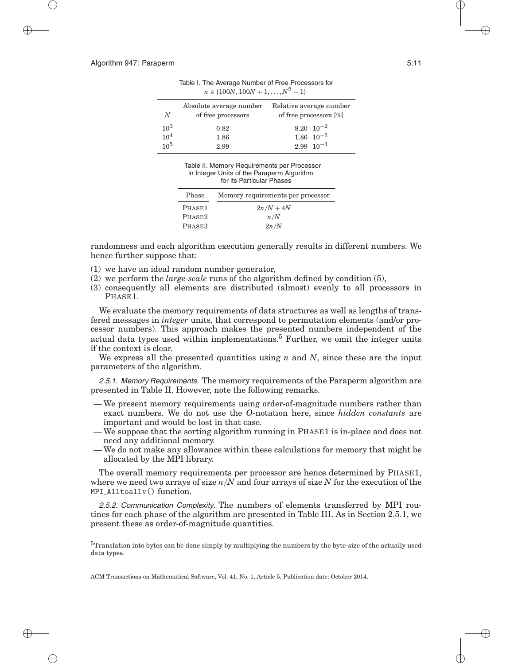| N                                  | Absolute average number<br>of free processors | Relative average number<br>of free processors $[\%]$ |
|------------------------------------|-----------------------------------------------|------------------------------------------------------|
| 10 <sup>3</sup><br>10 <sup>4</sup> | 0.82<br>1.86                                  | $8.20 \cdot 10^{-2}$<br>$1.86\cdot 10^{-2}$          |
| $10^{5}$                           | 2.99                                          | $2.99 \cdot 10^{-3}$                                 |

Table I. The Average Number of Free Processors for  $n \in \{100N, 100N + 1, \ldots, N^2 - 1\}$ 

Table II. Memory Requirements per Processor in Integer Units of the Paraperm Algorithm for its Particular Phases

| Phase  | Memory requirements per processor |
|--------|-----------------------------------|
| PHASE1 | $2n/N+4N$                         |
| PHASE2 | n/N                               |
| PHASE3 | 2n/N                              |

randomness and each algorithm execution generally results in different numbers. We hence further suppose that:

- (1) we have an ideal random number generator,
- (2) we perform the *large-scale* runs of the algorithm defined by condition (5),
- (3) consequently all elements are distributed (almost) evenly to all processors in PHASE1.

We evaluate the memory requirements of data structures as well as lengths of transfered messages in *integer* units, that correspond to permutation elements (and/or processor numbers). This approach makes the presented numbers independent of the actual data types used within implementations.<sup>5</sup> Further, we omit the integer units if the context is clear.

We express all the presented quantities using  $n$  and  $N$ , since these are the input parameters of the algorithm.

2.5.1. Memory Requirements. The memory requirements of the Paraperm algorithm are presented in Table II. However, note the following remarks.

- We present memory requirements using order-of-magnitude numbers rather than exact numbers. We do not use the *O*-notation here, since *hidden constants* are important and would be lost in that case.
- We suppose that the sorting algorithm running in PHASE1 is in-place and does not need any additional memory.
- We do not make any allowance within these calculations for memory that might be allocated by the MPI library.

The overall memory requirements per processor are hence determined by PHASE1, where we need two arrays of size *n/N* and four arrays of size *N* for the execution of the MPI\_Alltoally() function.

2.5.2. Communication Complexity. The numbers of elements transferred by MPI routines for each phase of the algorithm are presented in Table III. As in Section 2.5.1, we present these as order-of-magnitude quantities.

<sup>5</sup>Translation into bytes can be done simply by multiplying the numbers by the byte-size of the actually used data types.

ACM Transactions on Mathematical Software, Vol. 41, No. 1, Article 5, Publication date: October 2014.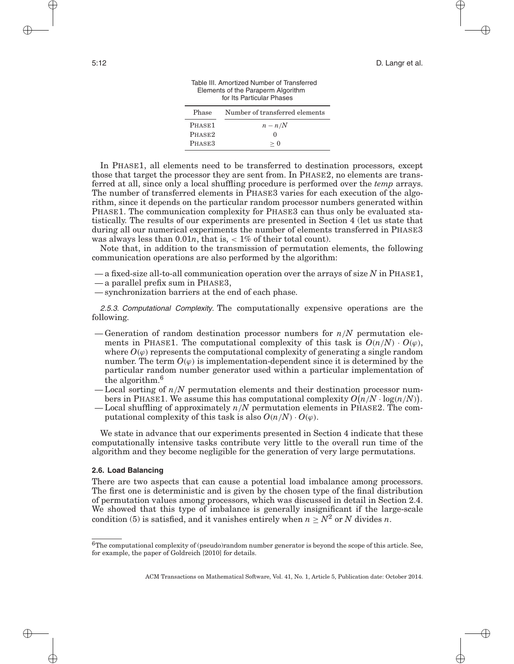| tor its Particular Phases |                                |  |  |  |
|---------------------------|--------------------------------|--|--|--|
| Phase                     | Number of transferred elements |  |  |  |
| PHASE <sub>1</sub>        | $n - n/N$                      |  |  |  |
| PHASE <sub>2</sub>        | $\lceil$                       |  |  |  |
| PHASE3                    | > 0                            |  |  |  |

Table III. Amortized Number of Transferred Elements of the Paraperm Algorithm for Its Particular Phases

In PHASE1, all elements need to be transferred to destination processors, except those that target the processor they are sent from. In PHASE2, no elements are transferred at all, since only a local shuffling procedure is performed over the *temp* arrays. The number of transferred elements in PHASE3 varies for each execution of the algorithm, since it depends on the particular random processor numbers generated within PHASE1. The communication complexity for PHASE3 can thus only be evaluated statistically. The results of our experiments are presented in Section 4 (let us state that during all our numerical experiments the number of elements transferred in PHASE3 was always less than 0.01*n*, that is, *<* 1% of their total count).

Note that, in addition to the transmission of permutation elements, the following communication operations are also performed by the algorithm:

- a fixed-size all-to-all communication operation over the arrays of size *N* in PHASE1,
- a parallel prefix sum in PHASE3,
- synchronization barriers at the end of each phase.

2.5.3. Computational Complexity. The computationally expensive operations are the following.

- Generation of random destination processor numbers for *n/N* permutation elements in PHASE1. The computational complexity of this task is  $O(n/N) \cdot O(\varphi)$ , where  $O(\varphi)$  represents the computational complexity of generating a single random number. The term  $O(\varphi)$  is implementation-dependent since it is determined by the particular random number generator used within a particular implementation of the algorithm.<sup>6</sup>
- Local sorting of *n/N* permutation elements and their destination processor numbers in PHASE1. We assume this has computational complexity  $O(n/N \cdot \log(n/N))$ .
- Local shuffling of approximately *n/N* permutation elements in PHASE2. The computational complexity of this task is also  $O(n/N) \cdot O(\varphi)$ .

We state in advance that our experiments presented in Section 4 indicate that these computationally intensive tasks contribute very little to the overall run time of the algorithm and they become negligible for the generation of very large permutations.

# **2.6. Load Balancing**

There are two aspects that can cause a potential load imbalance among processors. The first one is deterministic and is given by the chosen type of the final distribution of permutation values among processors, which was discussed in detail in Section 2.4. We showed that this type of imbalance is generally insignificant if the large-scale condition (5) is satisfied, and it vanishes entirely when  $n \geq N^2$  or *N* divides *n*.

 $6$ The computational complexity of (pseudo)random number generator is beyond the scope of this article. See, for example, the paper of Goldreich [2010] for details.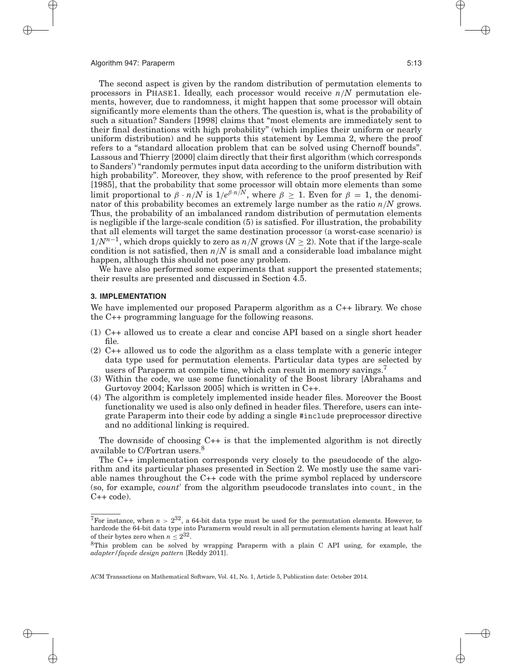The second aspect is given by the random distribution of permutation elements to processors in PHASE1. Ideally, each processor would receive *n/N* permutation elements, however, due to randomness, it might happen that some processor will obtain significantly more elements than the others. The question is, what is the probability of such a situation? Sanders [1998] claims that "most elements are immediately sent to their final destinations with high probability" (which implies their uniform or nearly uniform distribution) and he supports this statement by Lemma 2, where the proof refers to a "standard allocation problem that can be solved using Chernoff bounds". Lassous and Thierry [2000] claim directly that their first algorithm (which corresponds to Sanders') "randomly permutes input data according to the uniform distribution with high probability". Moreover, they show, with reference to the proof presented by Reif [1985], that the probability that some processor will obtain more elements than some limit proportional to  $\beta \cdot n/N$  is  $1/e^{\beta \cdot n/N}$ , where  $\beta \geq 1$ . Even for  $\beta = 1$ , the denominator of this probability becomes an extremely large number as the ratio *n/N* grows. Thus, the probability of an imbalanced random distribution of permutation elements is negligible if the large-scale condition (5) is satisfied. For illustration, the probability that all elements will target the same destination processor (a worst-case scenario) is  $1/N^{n-1}$ , which drops quickly to zero as  $n/N$  grows ( $N \ge 2$ ). Note that if the large-scale condition is not satisfied, then  $n/N$  is small and a considerable load imbalance might happen, although this should not pose any problem.

We have also performed some experiments that support the presented statements; their results are presented and discussed in Section 4.5.

### **3. IMPLEMENTATION**

We have implemented our proposed Paraperm algorithm as a  $C_{++}$  library. We chose the C++ programming language for the following reasons.

- (1) C++ allowed us to create a clear and concise API based on a single short header file.
- (2) C++ allowed us to code the algorithm as a class template with a generic integer data type used for permutation elements. Particular data types are selected by users of Paraperm at compile time, which can result in memory savings.
- (3) Within the code, we use some functionality of the Boost library [Abrahams and Gurtovoy 2004; Karlsson 2005] which is written in C++.
- (4) The algorithm is completely implemented inside header files. Moreover the Boost functionality we used is also only defined in header files. Therefore, users can integrate Paraperm into their code by adding a single #include preprocessor directive and no additional linking is required.

The downside of choosing C++ is that the implemented algorithm is not directly available to C/Fortran users.<sup>8</sup>

The C++ implementation corresponds very closely to the pseudocode of the algorithm and its particular phases presented in Section 2. We mostly use the same variable names throughout the C++ code with the prime symbol replaced by underscore (so, for example, *count'* from the algorithm pseudocode translates into count in the  $C++code$ .

<sup>&</sup>lt;sup>7</sup>For instance, when  $n > 2^{32}$ , a 64-bit data type must be used for the permutation elements. However, to hardcode the 64-bit data type into Paramerm would result in all permutation elements having at least half of their bytes zero when  $n < 2^{32}$ .

<sup>8</sup>This problem can be solved by wrapping Paraperm with a plain C API using, for example, the *adapter/fa¸cede design pattern* [Reddy 2011].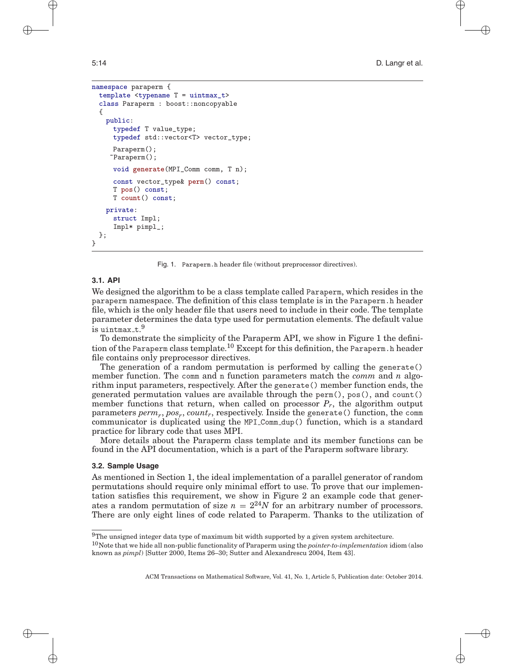```
namespace paraperm {
 template <typename T = uintmax_t>
 class Paraperm : boost::noncopyable
 {
   public:
     typedef T value_type;
     typedef std::vector<T> vector_type;
     Paraperm();
    ~Paraperm();
     void generate(MPI_Comm comm, T n);
     const vector_type& perm() const;
     T pos() const;
     T count() const;
   private:
     struct Impl;
     Impl* pimpl_;
 };
}
```
Fig. 1. Paraperm.h header file (without preprocessor directives).

# **3.1. API**

We designed the algorithm to be a class template called Paraperm, which resides in the paraperm namespace. The definition of this class template is in the Paraperm.h header file, which is the only header file that users need to include in their code. The template parameter determines the data type used for permutation elements. The default value is uintmax\_t. $^9$ 

To demonstrate the simplicity of the Paraperm API, we show in Figure 1 the definition of the Paraperm class template.<sup>10</sup> Except for this definition, the Paraperm.h header file contains only preprocessor directives.

The generation of a random permutation is performed by calling the generate() member function. The comm and n function parameters match the *comm* and *n* algorithm input parameters, respectively. After the generate() member function ends, the generated permutation values are available through the perm(), pos(), and count() member functions that return, when called on processor  $P_r$ , the algorithm output parameters *perm<sub>r</sub>*, *pos<sub>r</sub>*, *count<sub>r</sub>*, respectively. Inside the generate() function, the comm communicator is duplicated using the MPI Comm dup() function, which is a standard practice for library code that uses MPI.

More details about the Paraperm class template and its member functions can be found in the API documentation, which is a part of the Paraperm software library.

#### **3.2. Sample Usage**

As mentioned in Section 1, the ideal implementation of a parallel generator of random permutations should require only minimal effort to use. To prove that our implementation satisfies this requirement, we show in Figure 2 an example code that generates a random permutation of size  $n = 2^{24}N$  for an arbitrary number of processors. There are only eight lines of code related to Paraperm. Thanks to the utilization of

 $9$ The unsigned integer data type of maximum bit width supported by a given system architecture.

<sup>10</sup>Note that we hide all non-public functionality of Paraperm using the *pointer-to-implementation* idiom (also known as *pimpl*) [Sutter 2000, Items 26–30; Sutter and Alexandrescu 2004, Item 43].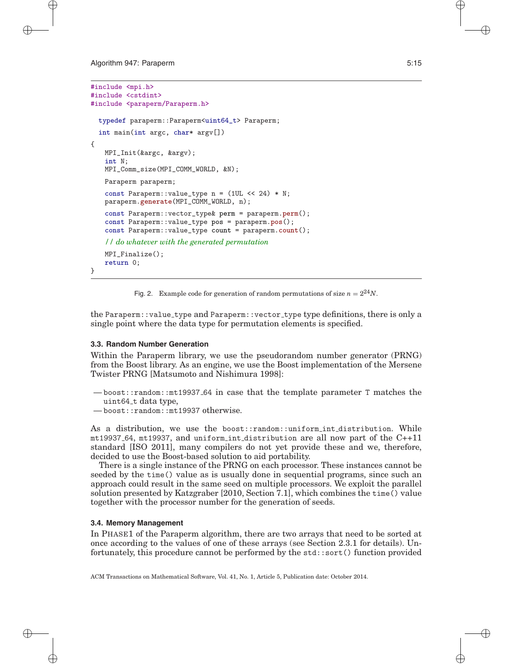```
#include <mpi.h>
#include <cstdint>
#include <paraperm/Paraperm.h>
 typedef paraperm::Paraperm<uint64_t> Paraperm;
 int main(int argc, char* argv[])
{
   MPI_Init(&argc, &argv);
   int N;
   MPI_Comm_size(MPI_COMM_WORLD, &N);
   Paraperm paraperm;
   const Paraperm::value_type n = (1UL \ll 24) * N;
   paraperm.generate(MPI_COMM_WORLD, n);
   const Paraperm::vector_type& perm = paraperm.perm();
   const Paraperm::value_type pos = paraperm.pos();
   const Paraperm::value_type count = paraperm.count();
   // do whatever with the generated permutation
   MPI_Finalize();
   return 0;
}
```

```
Fig. 2. Example code for generation of random permutations of size n = 2^{24}N.
```
the Paraperm::value\_type and Paraperm::vector\_type type definitions, there is only a single point where the data type for permutation elements is specified.

# **3.3. Random Number Generation**

Within the Paraperm library, we use the pseudorandom number generator (PRNG) from the Boost library. As an engine, we use the Boost implementation of the Mersene Twister PRNG [Matsumoto and Nishimura 1998]:

- boost::random::mt19937 64 in case that the template parameter T matches the uint64\_t data type,
- boost::random::mt19937 otherwise.

As a distribution, we use the boost::random::uniform int distribution. While  $m$ t19937.64,  $m$ t19937, and uniform int distribution are all now part of the  $C++11$ standard [ISO 2011], many compilers do not yet provide these and we, therefore, decided to use the Boost-based solution to aid portability.

There is a single instance of the PRNG on each processor. These instances cannot be seeded by the time() value as is usually done in sequential programs, since such an approach could result in the same seed on multiple processors. We exploit the parallel solution presented by Katzgraber [2010, Section 7.1], which combines the time() value together with the processor number for the generation of seeds.

# **3.4. Memory Management**

In PHASE1 of the Paraperm algorithm, there are two arrays that need to be sorted at once according to the values of one of these arrays (see Section 2.3.1 for details). Unfortunately, this procedure cannot be performed by the std::sort() function provided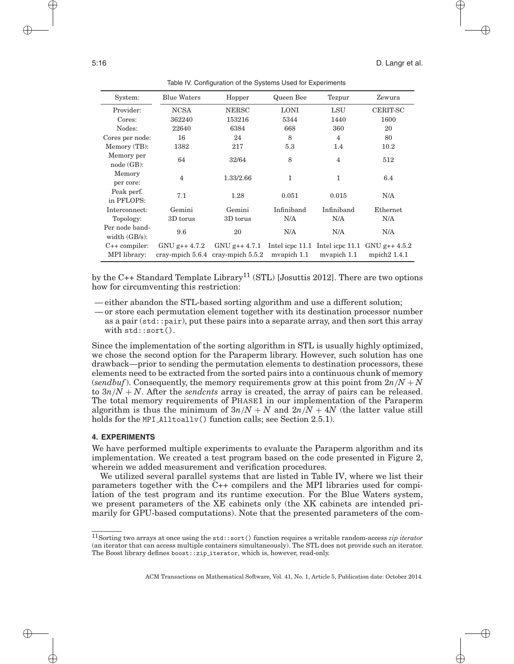| System:                            | <b>Blue Waters</b> | Hopper                                          | Queen Bee   | Tezpur                   | Zewura          |
|------------------------------------|--------------------|-------------------------------------------------|-------------|--------------------------|-----------------|
| Provider:                          | <b>NCSA</b>        | <b>NERSC</b>                                    | <b>LONI</b> | LSU                      | CERIT-SC        |
| Cores:                             | 362240             | 153216                                          | 5344        | 1440                     | 1600            |
| Nodes:                             | 22640              | 6384                                            | 668         | 360                      | 20              |
| Cores per node:                    | 16                 | 24                                              | 8           | $\overline{\mathcal{A}}$ | 80              |
| Memory (TB):                       | 1382               | 217                                             | 5.3         | 1.4                      | 10.2            |
| Memory per<br>node(GB):            | 64                 | 32/64                                           | 8           | $\overline{4}$           | 512             |
| Memory<br>per core:                | $\overline{4}$     | 1.33/2.66                                       | 1           | 1                        | 6.4             |
| Peak perf.<br>in PFLOPS:           | 7.1                | 1.28                                            | 0.051       | 0.015                    | N/A             |
| Interconnect:                      | Gemini             | Gemini                                          | Infiniband  | Infiniband               | Ethernet        |
| Topology:                          | 3D torus           | 3D torus                                        | N/A         | N/A                      | N/A             |
| Per node band-<br>width $(GB/s)$ : | 9.6                | 20                                              | N/A         | N/A                      | N/A             |
| $C++$ compiler:                    | $GNU g++4.7.2$     | $GNU$ g++ 4.7.1 Intel icpc 11.1 Intel icpc 11.1 |             |                          | $GNU$ g++ 4.5.2 |
| MPI library:                       |                    | cray-mpich $5.6.4$ cray-mpich $5.5.2$           | myapich 1.1 | myapich 1.1              | mpich $21.4.1$  |

Table IV. Configuration of the Systems Used for Experiments

by the C++ Standard Template Library<sup>11</sup> (STL) [Josuttis 2012]. There are two options how for circumventing this restriction:

- either abandon the STL-based sorting algorithm and use a different solution;
- or store each permutation element together with its destination processor number as a pair (std::pair), put these pairs into a separate array, and then sort this array with std::sort().

Since the implementation of the sorting algorithm in STL is usually highly optimized, we chose the second option for the Paraperm library. However, such solution has one drawback—prior to sending the permutation elements to destination processors, these elements need to be extracted from the sorted pairs into a continuous chunk of memory (*sendbuf*). Consequently, the memory requirements grow at this point from  $2n/N + N$ to  $3n/N + N$ . After the *sendcnts* array is created, the array of pairs can be released. The total memory requirements of PHASE1 in our implementation of the Paraperm algorithm is thus the minimum of  $3n/N + N$  and  $2n/N + 4N$  (the latter value still holds for the MPI Alltoally () function calls; see Section 2.5.1).

### **4. EXPERIMENTS**

We have performed multiple experiments to evaluate the Paraperm algorithm and its implementation. We created a test program based on the code presented in Figure 2, wherein we added measurement and verification procedures.

We utilized several parallel systems that are listed in Table IV, where we list their parameters together with the C++ compilers and the MPI libraries used for compilation of the test program and its runtime execution. For the Blue Waters system, we present parameters of the XE cabinets only (the XK cabinets are intended primarily for GPU-based computations). Note that the presented parameters of the com-

<sup>11</sup>Sorting two arrays at once using the std::sort() function requires a writable random-access *zip iterator* (an iterator that can access multiple containers simultaneously). The STL does not provide such an iterator. The Boost library defines boost::zip iterator, which is, however, read-only.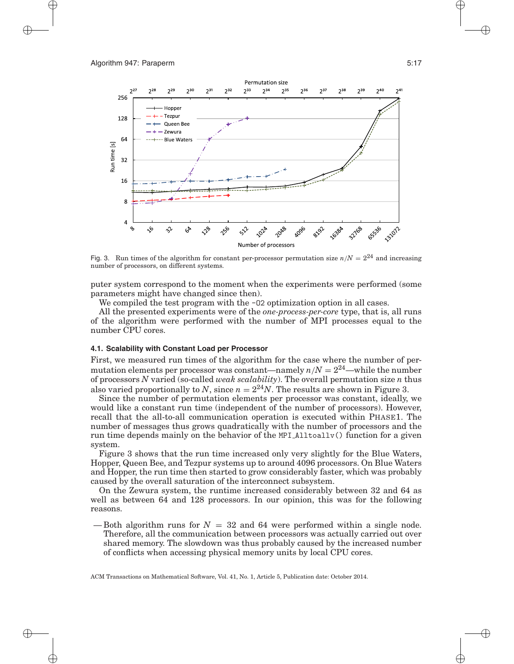

Fig. 3. Run times of the algorithm for constant per-processor permutation size  $n/N = 2^{24}$  and increasing number of processors, on different systems.

puter system correspond to the moment when the experiments were performed (some parameters might have changed since then).

We compiled the test program with the  $-02$  optimization option in all cases.

All the presented experiments were of the *one-process-per-core* type, that is, all runs of the algorithm were performed with the number of MPI processes equal to the number CPU cores.

### **4.1. Scalability with Constant Load per Processor**

First, we measured run times of the algorithm for the case where the number of permutation elements per processor was constant—namely  $n/N = 2^{24}$ —while the number of processors *N* varied (so-called *weak scalability*). The overall permutation size *n* thus also varied proportionally to *N*, since  $n = 2^{24}N$ . The results are shown in Figure 3.

Since the number of permutation elements per processor was constant, ideally, we would like a constant run time (independent of the number of processors). However, recall that the all-to-all communication operation is executed within PHASE1. The number of messages thus grows quadratically with the number of processors and the run time depends mainly on the behavior of the MPI Alltoallv() function for a given system.

Figure 3 shows that the run time increased only very slightly for the Blue Waters, Hopper, Queen Bee, and Tezpur systems up to around 4096 processors. On Blue Waters and Hopper, the run time then started to grow considerably faster, which was probably caused by the overall saturation of the interconnect subsystem.

On the Zewura system, the runtime increased considerably between 32 and 64 as well as between 64 and 128 processors. In our opinion, this was for the following reasons.

— Both algorithm runs for  $N = 32$  and 64 were performed within a single node. Therefore, all the communication between processors was actually carried out over shared memory. The slowdown was thus probably caused by the increased number of conflicts when accessing physical memory units by local CPU cores.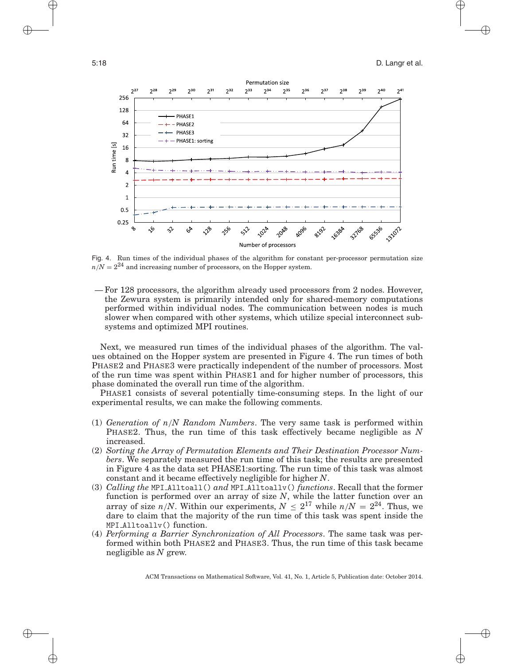

Fig. 4. Run times of the individual phases of the algorithm for constant per-processor permutation size  $n/N = 2^{24}$  and increasing number of processors, on the Hopper system.

— For 128 processors, the algorithm already used processors from 2 nodes. However, the Zewura system is primarily intended only for shared-memory computations performed within individual nodes. The communication between nodes is much slower when compared with other systems, which utilize special interconnect subsystems and optimized MPI routines.

Next, we measured run times of the individual phases of the algorithm. The values obtained on the Hopper system are presented in Figure 4. The run times of both PHASE2 and PHASE3 were practically independent of the number of processors. Most of the run time was spent within PHASE1 and for higher number of processors, this phase dominated the overall run time of the algorithm.

PHASE1 consists of several potentially time-consuming steps. In the light of our experimental results, we can make the following comments.

- (1) *Generation of n/N Random Numbers*. The very same task is performed within PHASE2. Thus, the run time of this task effectively became negligible as *N* increased.
- (2) *Sorting the Array of Permutation Elements and Their Destination Processor Numbers*. We separately measured the run time of this task; the results are presented in Figure 4 as the data set PHASE1:sorting. The run time of this task was almost constant and it became effectively negligible for higher *N*.
- (3) *Calling the* MPI Alltoall() *and* MPI Alltoallv() *functions*. Recall that the former function is performed over an array of size *N*, while the latter function over an array of size  $n/N$ . Within our experiments,  $N \leq 2^{17}$  while  $n/N = 2^{24}$ . Thus, we dare to claim that the majority of the run time of this task was spent inside the MPI Alltoallv() function.
- (4) *Performing a Barrier Synchronization of All Processors*. The same task was performed within both PHASE2 and PHASE3. Thus, the run time of this task became negligible as *N* grew.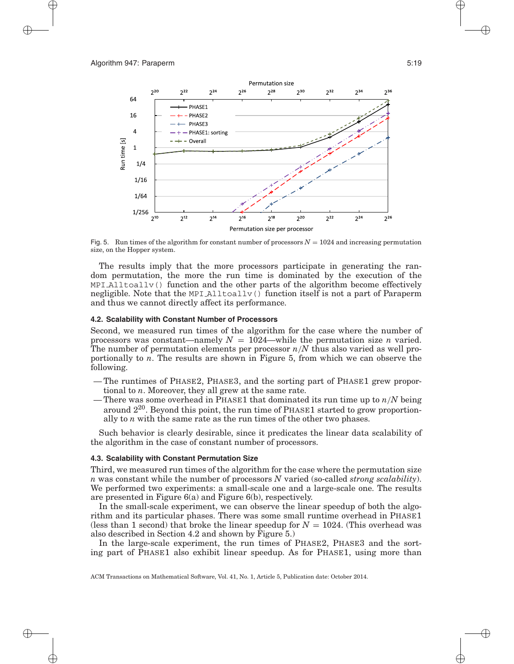

Fig. 5. Run times of the algorithm for constant number of processors  $N = 1024$  and increasing permutation size, on the Hopper system.

The results imply that the more processors participate in generating the random permutation, the more the run time is dominated by the execution of the MPI Alltoallv() function and the other parts of the algorithm become effectively negligible. Note that the MPI Alltoallv() function itself is not a part of Paraperm and thus we cannot directly affect its performance.

#### **4.2. Scalability with Constant Number of Processors**

Second, we measured run times of the algorithm for the case where the number of processors was constant—namely  $N = 1024$ —while the permutation size *n* varied. The number of permutation elements per processor *n/N* thus also varied as well proportionally to *n*. The results are shown in Figure 5, from which we can observe the following.

- The runtimes of PHASE2, PHASE3, and the sorting part of PHASE1 grew proportional to *n*. Moreover, they all grew at the same rate.
- There was some overhead in PHASE1 that dominated its run time up to *n/N* being around 220. Beyond this point, the run time of PHASE1 started to grow proportionally to *n* with the same rate as the run times of the other two phases.

Such behavior is clearly desirable, since it predicates the linear data scalability of the algorithm in the case of constant number of processors.

#### **4.3. Scalability with Constant Permutation Size**

Third, we measured run times of the algorithm for the case where the permutation size *n* was constant while the number of processors *N* varied (so-called *strong scalability*). We performed two experiments: a small-scale one and a large-scale one. The results are presented in Figure 6(a) and Figure 6(b), respectively.

In the small-scale experiment, we can observe the linear speedup of both the algorithm and its particular phases. There was some small runtime overhead in PHASE1 (less than 1 second) that broke the linear speedup for  $N = 1024$ . (This overhead was also described in Section 4.2 and shown by Figure 5.)

In the large-scale experiment, the run times of PHASE2, PHASE3 and the sorting part of PHASE1 also exhibit linear speedup. As for PHASE1, using more than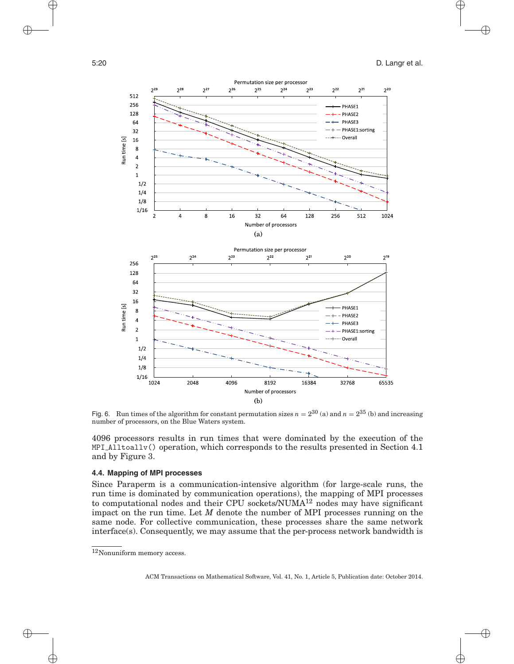

Fig. 6. Run times of the algorithm for constant permutation sizes  $n = 2^{30}$  (a) and  $n = 2^{35}$  (b) and increasing number of processors, on the Blue Waters system.

4096 processors results in run times that were dominated by the execution of the MPI Alltoallv() operation, which corresponds to the results presented in Section 4.1 and by Figure 3.

#### **4.4. Mapping of MPI processes**

Since Paraperm is a communication-intensive algorithm (for large-scale runs, the run time is dominated by communication operations), the mapping of MPI processes to computational nodes and their CPU sockets/NUMA12 nodes may have significant impact on the run time. Let *M* denote the number of MPI processes running on the same node. For collective communication, these processes share the same network  $interface(s)$ . Consequently, we may assume that the per-process network bandwidth is

 $^{12}\rm{Nonuniform}$  memory access.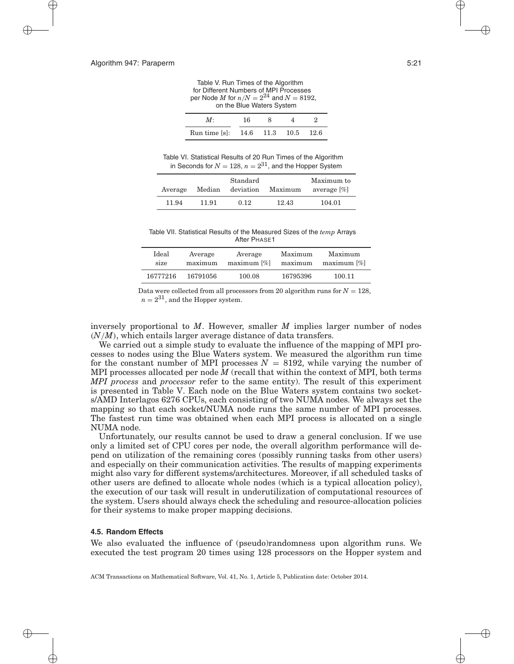Table V. Run Times of the Algorithm for Different Numbers of MPI Processes per Node *M* for  $n/N = 2^{24}$  and  $N = 8192$ , on the Blue Waters System

|                                   | 16. |  |  |
|-----------------------------------|-----|--|--|
| Run time [s]: 14.6 11.3 10.5 12.6 |     |  |  |

Table VI. Statistical Results of 20 Run Times of the Algorithm in Seconds for  $N = 128$ ,  $n = 2^{31}$ , and the Hopper System

|         | Standard |                  |         | Maximum to     |  |  |
|---------|----------|------------------|---------|----------------|--|--|
| Average |          | Median deviation | Maximum | average $[\%]$ |  |  |
| 11.94   | 11.91    | 0.12             | 12.43   | 104.01         |  |  |

Table VII. Statistical Results of the Measured Sizes of the *temp* Arrays After PHASE1

| Ideal    | Average  | Average        | Maximum  | Maximum       |
|----------|----------|----------------|----------|---------------|
| size     | maximum  | $maximum [\%]$ | maximum  | $maximum$ [%] |
| 16777216 | 16791056 | 100.08         | 16795396 | 100.11        |

Data were collected from all processors from 20 algorithm runs for  $N = 128$ ,  $n = 2^{31}$ , and the Hopper system.

inversely proportional to *M*. However, smaller *M* implies larger number of nodes *(N/M)*, which entails larger average distance of data transfers.

We carried out a simple study to evaluate the influence of the mapping of MPI processes to nodes using the Blue Waters system. We measured the algorithm run time for the constant number of MPI processes  $N = 8192$ , while varying the number of MPI processes allocated per node *M* (recall that within the context of MPI, both terms *MPI process* and *processor* refer to the same entity). The result of this experiment is presented in Table V. Each node on the Blue Waters system contains two sockets/AMD Interlagos 6276 CPUs, each consisting of two NUMA nodes. We always set the mapping so that each socket/NUMA node runs the same number of MPI processes. The fastest run time was obtained when each MPI process is allocated on a single NUMA node.

Unfortunately, our results cannot be used to draw a general conclusion. If we use only a limited set of CPU cores per node, the overall algorithm performance will depend on utilization of the remaining cores (possibly running tasks from other users) and especially on their communication activities. The results of mapping experiments might also vary for different systems/architectures. Moreover, if all scheduled tasks of other users are defined to allocate whole nodes (which is a typical allocation policy), the execution of our task will result in underutilization of computational resources of the system. Users should always check the scheduling and resource-allocation policies for their systems to make proper mapping decisions.

#### **4.5. Random Effects**

We also evaluated the influence of (pseudo)randomness upon algorithm runs. We executed the test program 20 times using 128 processors on the Hopper system and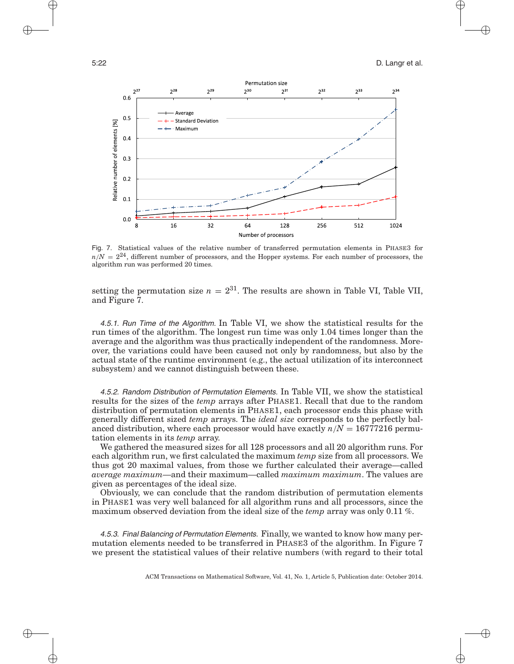

Fig. 7. Statistical values of the relative number of transferred permutation elements in PHASE3 for  $n/N = 2^{24}$ , different number of processors, and the Hopper systems. For each number of processors, the algorithm run was performed 20 times.

setting the permutation size  $n = 2^{31}$ . The results are shown in Table VI, Table VII, and Figure 7.

4.5.1. Run Time of the Algorithm. In Table VI, we show the statistical results for the run times of the algorithm. The longest run time was only 1.04 times longer than the average and the algorithm was thus practically independent of the randomness. Moreover, the variations could have been caused not only by randomness, but also by the actual state of the runtime environment (e.g., the actual utilization of its interconnect subsystem) and we cannot distinguish between these.

4.5.2. Random Distribution of Permutation Elements. In Table VII, we show the statistical results for the sizes of the *temp* arrays after PHASE1. Recall that due to the random distribution of permutation elements in PHASE1, each processor ends this phase with generally different sized *temp* arrays. The *ideal size* corresponds to the perfectly balanced distribution, where each processor would have exactly  $n/N = 16777216$  permutation elements in its *temp* array.

We gathered the measured sizes for all 128 processors and all 20 algorithm runs. For each algorithm run, we first calculated the maximum *temp* size from all processors. We thus got 20 maximal values, from those we further calculated their average—called *average maximum*—and their maximum—called *maximum maximum*. The values are given as percentages of the ideal size.

Obviously, we can conclude that the random distribution of permutation elements in PHASE1 was very well balanced for all algorithm runs and all processors, since the maximum observed deviation from the ideal size of the *temp* array was only 0.11 %.

4.5.3. Final Balancing of Permutation Elements. Finally, we wanted to know how many permutation elements needed to be transferred in PHASE3 of the algorithm. In Figure 7 we present the statistical values of their relative numbers (with regard to their total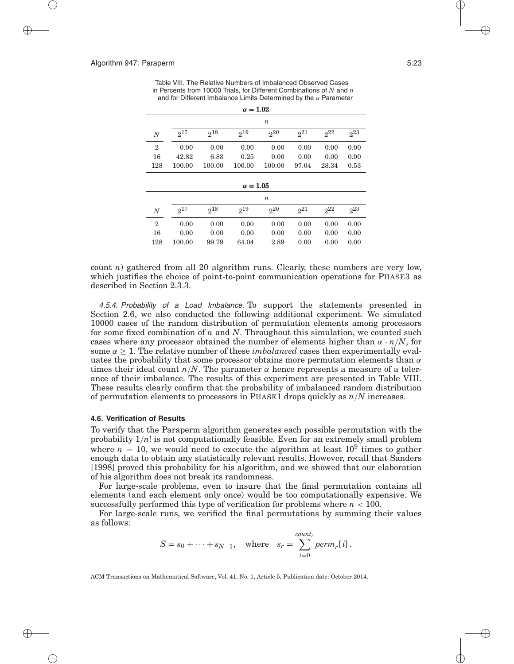Table VIII. The Relative Numbers of Imbalanced Observed Cases in Percents from 10000 Trials, for Different Combinations of *N* and *n* and for Different Imbalance Limits Determined by the *α* Parameter

| $\alpha = 1.02$  |          |          |                 |          |          |          |          |  |
|------------------|----------|----------|-----------------|----------|----------|----------|----------|--|
|                  | n        |          |                 |          |          |          |          |  |
| $\boldsymbol{N}$ | $2^{17}$ | $2^{18}$ | $2^{19}$        | 20       | $2^{21}$ | $2^{22}$ | $2^{23}$ |  |
| $\overline{2}$   | 0.00     | 0.00     | 0.00            | 0.00     | 0.00     | 0.00     | 0.00     |  |
| 16               | 42.82    | 6.83     | 0.25            | 0.00     | 0.00     | 0.00     | 0.00     |  |
| 128              | 100.00   | 100.00   | 100.00          | 100.00   | 97.04    | 28.34    | 0.53     |  |
|                  |          |          |                 |          |          |          |          |  |
|                  |          |          | $\alpha = 1.05$ |          |          |          |          |  |
| $\boldsymbol{n}$ |          |          |                 |          |          |          |          |  |
| $\boldsymbol{N}$ | $2^{17}$ | $2^{18}$ | $2^{19}$        | $2^{20}$ | $2^{21}$ | $2^{22}$ | $2^{23}$ |  |
| $\overline{2}$   | 0.00     | 0.00     | 0.00            | 0.00     | 0.00     | 0.00     | 0.00     |  |
| 16               | 0.00     | 0.00     | 0.00            | 0.00     | 0.00     | 0.00     | 0.00     |  |
| 128              | 100.00   | 99.79    | 64.04           | 2.89     | 0.00     | 0.00     | 0.00     |  |

count *n*) gathered from all 20 algorithm runs. Clearly, these numbers are very low, which justifies the choice of point-to-point communication operations for PHASE3 as described in Section 2.3.3.

4.5.4. Probability of a Load Imbalance. To support the statements presented in Section 2.6, we also conducted the following additional experiment. We simulated 10000 cases of the random distribution of permutation elements among processors for some fixed combination of *n* and *N*. Throughout this simulation, we counted such cases where any processor obtained the number of elements higher than *α* · *n/N*, for some  $\alpha \geq 1$ . The relative number of these *imbalanced* cases then experimentally evaluates the probability that some processor obtains more permutation elements than *α* times their ideal count  $n/N$ . The parameter  $\alpha$  hence represents a measure of a tolerance of their imbalance. The results of this experiment are presented in Table VIII. These results clearly confirm that the probability of imbalanced random distribution of permutation elements to processors in PHASE1 drops quickly as *n/N* increases.

#### **4.6. Verification of Results**

To verify that the Paraperm algorithm generates each possible permutation with the probability  $1/n!$  is not computationally feasible. Even for an extremely small problem where  $n = 10$ , we would need to execute the algorithm at least  $10^9$  times to gather enough data to obtain any statistically relevant results. However, recall that Sanders [1998] proved this probability for his algorithm, and we showed that our elaboration of his algorithm does not break its randomness.

For large-scale problems, even to insure that the final permutation contains all elements (and each element only once) would be too computationally expensive. We successfully performed this type of verification for problems where  $n < 100$ .

For large-scale runs, we verified the final permutations by summing their values as follows:

$$
S = s_0 + \dots + s_{N-1}, \quad \text{where} \quad s_r = \sum_{i=0}^{count_r} perm_r[i].
$$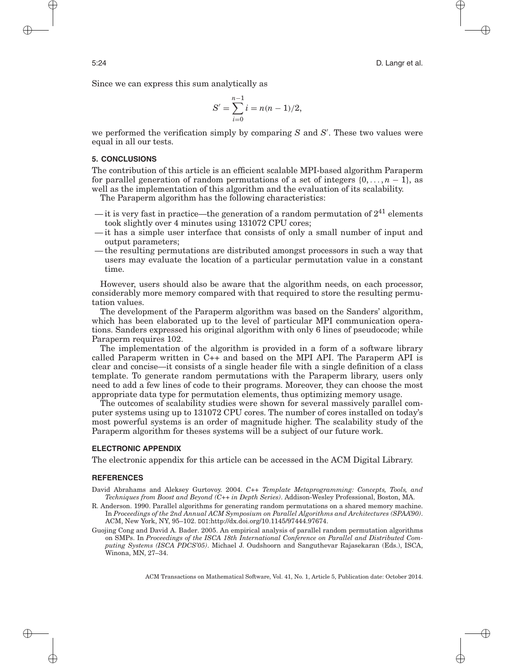Since we can express this sum analytically as

$$
S' = \sum_{i=0}^{n-1} i = n(n-1)/2,
$$

we performed the verification simply by comparing *S* and *S* . These two values were equal in all our tests.

# **5. CONCLUSIONS**

The contribution of this article is an efficient scalable MPI-based algorithm Paraperm for parallel generation of random permutations of a set of integers  $\{0, \ldots, n-1\}$ , as well as the implementation of this algorithm and the evaluation of its scalability.

The Paraperm algorithm has the following characteristics:

- it is very fast in practice—the generation of a random permutation of  $2^{41}$  elements took slightly over 4 minutes using 131072 CPU cores;
- it has a simple user interface that consists of only a small number of input and output parameters;
- the resulting permutations are distributed amongst processors in such a way that users may evaluate the location of a particular permutation value in a constant time.

However, users should also be aware that the algorithm needs, on each processor, considerably more memory compared with that required to store the resulting permutation values.

The development of the Paraperm algorithm was based on the Sanders' algorithm, which has been elaborated up to the level of particular MPI communication operations. Sanders expressed his original algorithm with only 6 lines of pseudocode; while Paraperm requires 102.

The implementation of the algorithm is provided in a form of a software library called Paraperm written in C++ and based on the MPI API. The Paraperm API is clear and concise—it consists of a single header file with a single definition of a class template. To generate random permutations with the Paraperm library, users only need to add a few lines of code to their programs. Moreover, they can choose the most appropriate data type for permutation elements, thus optimizing memory usage.

The outcomes of scalability studies were shown for several massively parallel computer systems using up to 131072 CPU cores. The number of cores installed on today's most powerful systems is an order of magnitude higher. The scalability study of the Paraperm algorithm for theses systems will be a subject of our future work.

# **ELECTRONIC APPENDIX**

The electronic appendix for this article can be accessed in the ACM Digital Library.

#### **REFERENCES**

- David Abrahams and Aleksey Gurtovoy. 2004. *C++ Template Metaprogramming: Concepts, Tools, and Techniques from Boost and Beyond (C++ in Depth Series)*. Addison-Wesley Professional, Boston, MA.
- R. Anderson. 1990. Parallel algorithms for generating random permutations on a shared memory machine. In *Proceedings of the 2nd Annual ACM Symposium on Parallel Algorithms and Architectures (SPAA'90)*. ACM, New York, NY, 95–102. DOI:http://dx.doi.org/10.1145/97444.97674.
- Guojing Cong and David A. Bader. 2005. An empirical analysis of parallel random permutation algorithms on SMPs. In *Proceedings of the ISCA 18th International Conference on Parallel and Distributed Computing Systems (ISCA PDCS'05)*. Michael J. Oudshoorn and Sanguthevar Rajasekaran (Eds.), ISCA, Winona, MN, 27–34.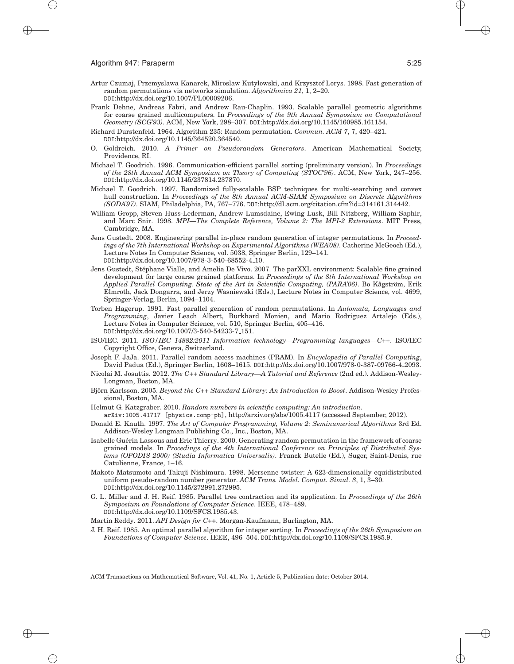- Artur Czumaj, Przemyslawa Kanarek, Miroslaw Kutylowski, and Krzysztof Lorys. 1998. Fast generation of random permutations via networks simulation. *Algorithmica 21*, 1, 2–20. DOI:http://dx.doi.org/10.1007/PL00009206.
- Frank Dehne, Andreas Fabri, and Andrew Rau-Chaplin. 1993. Scalable parallel geometric algorithms for coarse grained multicomputers. In *Proceedings of the 9th Annual Symposium on Computational Geometry (SCG'93)*. ACM, New York, 298–307. DOI:http://dx.doi.org/10.1145/160985.161154.
- Richard Durstenfeld. 1964. Algorithm 235: Random permutation. *Commun. ACM 7*, 7, 420–421. DOI:http://dx.doi.org/10.1145/364520.364540.
- O. Goldreich. 2010. *A Primer on Pseudorandom Generators*. American Mathematical Society, Providence, RI.
- Michael T. Goodrich. 1996. Communication-efficient parallel sorting (preliminary version). In *Proceedings of the 28th Annual ACM Symposium on Theory of Computing (STOC'96)*. ACM, New York, 247–256. DOI:http://dx.doi.org/10.1145/237814.237870.
- Michael T. Goodrich. 1997. Randomized fully-scalable BSP techniques for multi-searching and convex hull construction. In *Proceedings of the 8th Annual ACM-SIAM Symposium on Discrete Algorithms (SODA'97)*. SIAM, Philadelphia, PA, 767–776. DOI:http://dl.acm.org/citation.cfm?id=314161.314442.
- William Gropp, Steven Huss-Lederman, Andrew Lumsdaine, Ewing Lusk, Bill Nitzberg, William Saphir, and Marc Snir. 1998. *MPI—The Complete Reference, Volume 2: The MPI-2 Extensions*. MIT Press, Cambridge, MA.
- Jens Gustedt. 2008. Engineering parallel in-place random generation of integer permutations. In *Proceedings of the 7th International Workshop on Experimental Algorithms (WEA'08)*. Catherine McGeoch (Ed.), Lecture Notes In Computer Science, vol. 5038, Springer Berlin, 129–141. DOI:http://dx.doi.org/10.1007/978-3-540-68552-4 10.
- Jens Gustedt, Stephane Vialle, and Amelia De Vivo. 2007. The parXXL environment: Scalable fine grained ´ development for large coarse grained platforms. In *Proceedings of the 8th International Workshop on Applied Parallel Computing. State of the Art in Scientific Computing, (PARA'06)*. Bo Kågström, Erik Elmroth, Jack Dongarra, and Jerzy Wasniewski (Eds.), Lecture Notes in Computer Science, vol. 4699, Springer-Verlag, Berlin, 1094–1104.
- Torben Hagerup. 1991. Fast parallel generation of random permutations. In *Automata, Languages and Programming*, Javier Leach Albert, Burkhard Monien, and Mario Rodriguez Artalejo (Eds.), Lecture Notes in Computer Science, vol. 510, Springer Berlin, 405–416. DOI:[http://dx.doi.org/10.1007/3-540-54233-7](http://dx.doi.org/10.1007/3-540-54233-7_151) 151.
- ISO/IEC. 2011. *ISO/IEC 14882:2011 Information technology—Programming languages—C++*. ISO/IEC Copyright Office, Geneva, Switzerland.
- Joseph F. JaJa. 2011. Parallel random access machines (PRAM). In *Encyclopedia of Parallel Computing*, David Padua (Ed.), Springer Berlin, 1608–1615. DOI[:http://dx.doi.org/10.1007/978-0-387-09766-4](http://dx.doi.org/10.1007/978-0-387-09766-4_2093) 2093.
- Nicolai M. Josuttis. 2012. *The C++ Standard Library—A Tutorial and Reference* (2nd ed.). Addison-Wesley-Longman, Boston, MA.
- Björn Karlsson. 2005. Beyond the C++ Standard Library: An Introduction to Boost. Addison-Wesley Professional, Boston, MA.
- Helmut G. Katzgraber. 2010. *Random numbers in scientific computing: An introduction*. arXiv:1005.41717 [physics.comp-ph], http://arxiv.org/abs/1005.4117 (accessed September, 2012).
- Donald E. Knuth. 1997. *The Art of Computer Programming, Volume 2: Seminumerical Algorithms* 3rd Ed. Addison-Wesley Longman Publishing Co., Inc., Boston, MA.
- Isabelle Guerin Lassous and Eric Thierry. 2000. Generating random permutation in the framework of coarse ´ grained models. In *Procedings of the 4th International Conference on Principles of Distributed Systems (OPODIS 2000) (Studia Informatica Universalis)*. Franck Butelle (Ed.), Suger, Saint-Denis, rue Catulienne, France, 1–16.
- Makoto Matsumoto and Takuji Nishimura. 1998. Mersenne twister: A 623-dimensionally equidistributed uniform pseudo-random number generator. *ACM Trans. Model. Comput. Simul. 8*, 1, 3–30. DOI:http://dx.doi.org/10.1145/272991.272995.
- G. L. Miller and J. H. Reif. 1985. Parallel tree contraction and its application. In *Proceedings of the 26th Symposium on Foundations of Computer Science*. IEEE, 478–489. DOI:http://dx.doi.org/10.1109/SFCS.1985.43.

Martin Reddy. 2011. *API Design for C++*. Morgan-Kaufmann, Burlington, MA.

J. H. Reif. 1985. An optimal parallel algorithm for integer sorting. In *Proceedings of the 26th Symposium on Foundations of Computer Science*. IEEE, 496–504. DOI:http://dx.doi.org/10.1109/SFCS.1985.9.